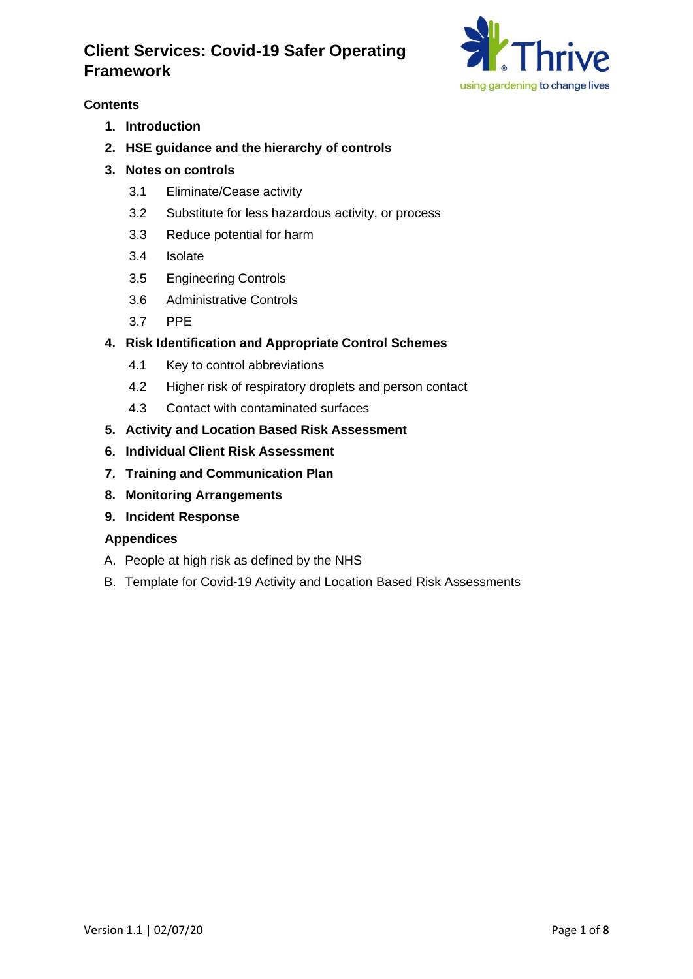

## **Contents**

- **1. Introduction**
- **2. HSE guidance and the hierarchy of controls**
- **3. Notes on controls**
	- 3.1 Eliminate/Cease activity
	- 3.2 Substitute for less hazardous activity, or process
	- 3.3 Reduce potential for harm
	- 3.4 Isolate
	- 3.5 Engineering Controls
	- 3.6 Administrative Controls
	- 3.7 PPE

## **4. Risk Identification and Appropriate Control Schemes**

- 4.1 Key to control abbreviations
- 4.2 Higher risk of respiratory droplets and person contact
- 4.3 Contact with contaminated surfaces
- **5. Activity and Location Based Risk Assessment**
- **6. Individual Client Risk Assessment**
- **7. Training and Communication Plan**
- **8. Monitoring Arrangements**
- **9. Incident Response**

## **Appendices**

- A. People at high risk as defined by the NHS
- B. Template for Covid-19 Activity and Location Based Risk Assessments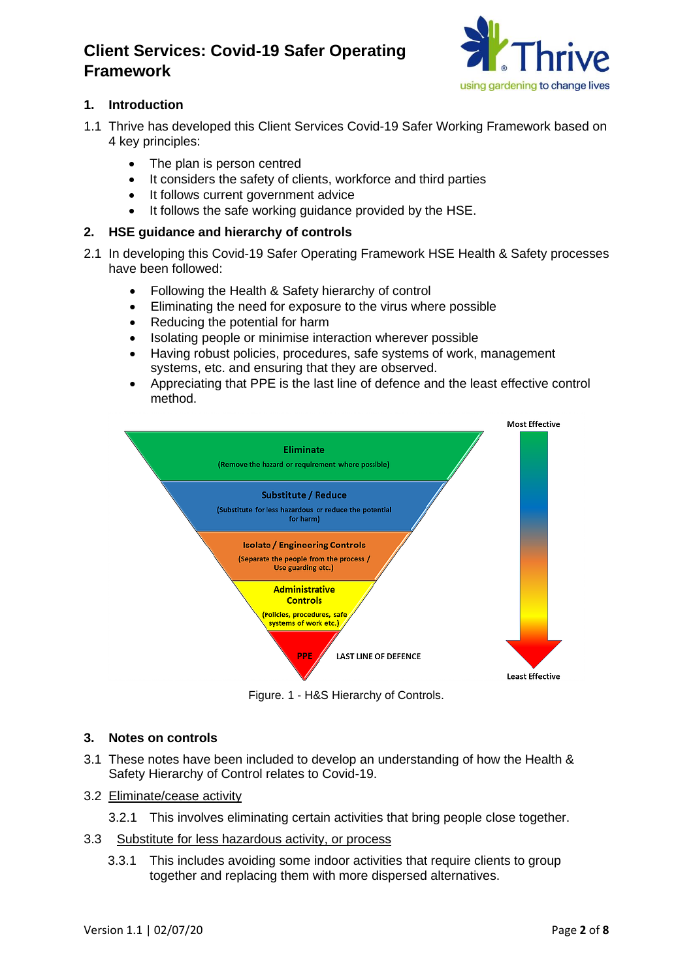

## **1. Introduction**

- 1.1 Thrive has developed this Client Services Covid-19 Safer Working Framework based on 4 key principles:
	- The plan is person centred
	- It considers the safety of clients, workforce and third parties
	- It follows current government advice
	- It follows the safe working guidance provided by the HSE.
- **2. HSE guidance and hierarchy of controls**
- 2.1 In developing this Covid-19 Safer Operating Framework HSE Health & Safety processes have been followed:
	- Following the Health & Safety hierarchy of control
	- Eliminating the need for exposure to the virus where possible
	- Reducing the potential for harm
	- Isolating people or minimise interaction wherever possible
	- Having robust policies, procedures, safe systems of work, management systems, etc. and ensuring that they are observed.
	- Appreciating that PPE is the last line of defence and the least effective control method.



Figure. 1 - H&S Hierarchy of Controls.

## **3. Notes on controls**

- 3.1 These notes have been included to develop an understanding of how the Health & Safety Hierarchy of Control relates to Covid-19.
- 3.2 Eliminate/cease activity
	- 3.2.1 This involves eliminating certain activities that bring people close together.
- 3.3 Substitute for less hazardous activity, or process
	- 3.3.1 This includes avoiding some indoor activities that require clients to group together and replacing them with more dispersed alternatives.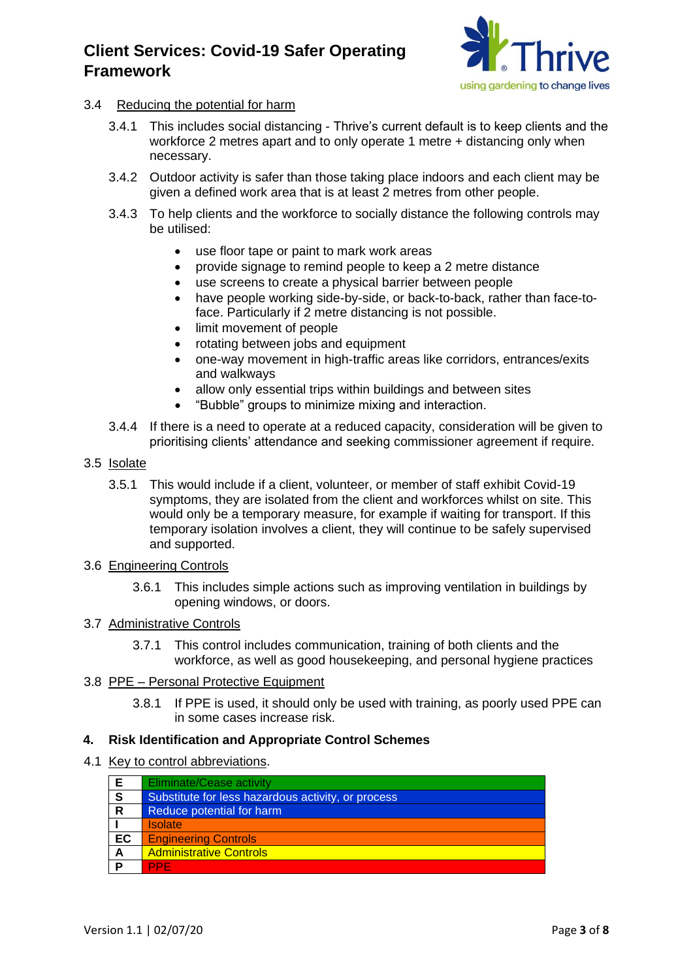

## 3.4 Reducing the potential for harm

- 3.4.1 This includes social distancing Thrive's current default is to keep clients and the workforce 2 metres apart and to only operate 1 metre + distancing only when necessary.
- 3.4.2 Outdoor activity is safer than those taking place indoors and each client may be given a defined work area that is at least 2 metres from other people.
- 3.4.3 To help clients and the workforce to socially distance the following controls may be utilised:
	- use floor tape or paint to mark work areas
	- provide signage to remind people to keep a 2 metre distance
	- use screens to create a physical barrier between people
	- have people working side-by-side, or back-to-back, rather than face-toface. Particularly if 2 metre distancing is not possible.
	- limit movement of people
	- rotating between jobs and equipment
	- one-way movement in high-traffic areas like corridors, entrances/exits and walkways
	- allow only essential trips within buildings and between sites
	- "Bubble" groups to minimize mixing and interaction.
- 3.4.4 If there is a need to operate at a reduced capacity, consideration will be given to prioritising clients' attendance and seeking commissioner agreement if require.
- 3.5 Isolate
	- 3.5.1 This would include if a client, volunteer, or member of staff exhibit Covid-19 symptoms, they are isolated from the client and workforces whilst on site. This would only be a temporary measure, for example if waiting for transport. If this temporary isolation involves a client, they will continue to be safely supervised and supported.
- 3.6 Engineering Controls
	- 3.6.1 This includes simple actions such as improving ventilation in buildings by opening windows, or doors.

## 3.7 Administrative Controls

- 3.7.1 This control includes communication, training of both clients and the workforce, as well as good housekeeping, and personal hygiene practices
- 3.8 PPE Personal Protective Equipment
	- 3.8.1 If PPE is used, it should only be used with training, as poorly used PPE can in some cases increase risk.

## **4. Risk Identification and Appropriate Control Schemes**

4.1 Key to control abbreviations.

| Е            | <b>Eliminate/Cease activity</b>                    |
|--------------|----------------------------------------------------|
| ${\bf S}$    | Substitute for less hazardous activity, or process |
| $\mathsf{R}$ | Reduce potential for harm                          |
|              | <b>Isolate</b>                                     |
| EC           | <b>Engineering Controls</b>                        |
| A            | <b>Administrative Controls</b>                     |
| P            | PPF                                                |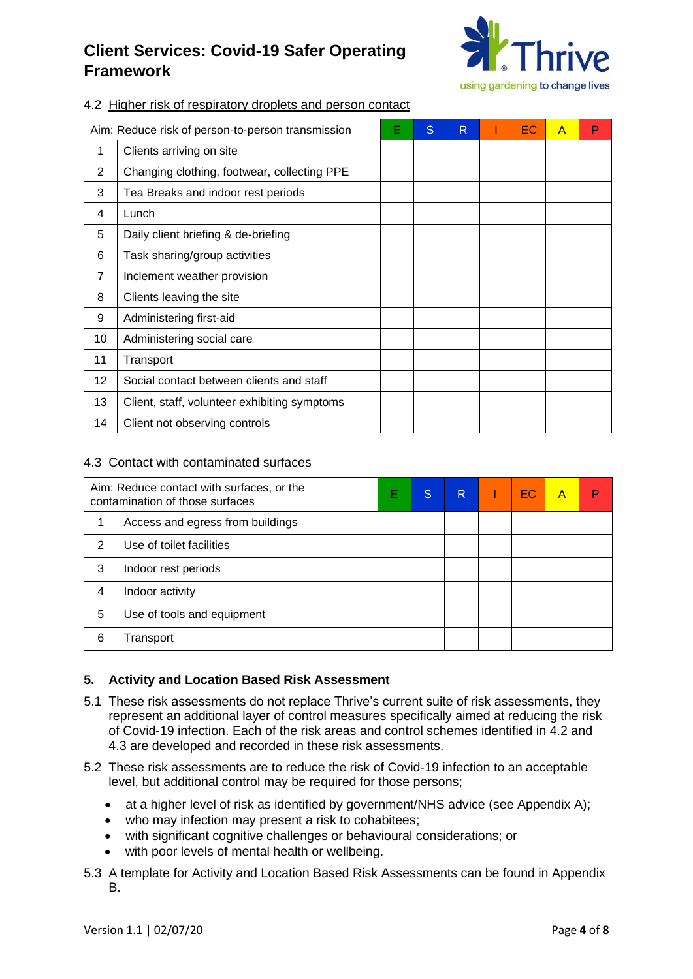

## 4.2 Higher risk of respiratory droplets and person contact

| Aim: Reduce risk of person-to-person transmission |                                              | Е | S | R | ЕC | A | Р |
|---------------------------------------------------|----------------------------------------------|---|---|---|----|---|---|
| 1                                                 | Clients arriving on site                     |   |   |   |    |   |   |
| 2                                                 | Changing clothing, footwear, collecting PPE  |   |   |   |    |   |   |
| 3                                                 | Tea Breaks and indoor rest periods           |   |   |   |    |   |   |
| 4                                                 | Lunch                                        |   |   |   |    |   |   |
| 5                                                 | Daily client briefing & de-briefing          |   |   |   |    |   |   |
| 6                                                 | Task sharing/group activities                |   |   |   |    |   |   |
| 7                                                 | Inclement weather provision                  |   |   |   |    |   |   |
| 8                                                 | Clients leaving the site                     |   |   |   |    |   |   |
| 9                                                 | Administering first-aid                      |   |   |   |    |   |   |
| 10                                                | Administering social care                    |   |   |   |    |   |   |
| 11                                                | Transport                                    |   |   |   |    |   |   |
| 12                                                | Social contact between clients and staff     |   |   |   |    |   |   |
| 13                                                | Client, staff, volunteer exhibiting symptoms |   |   |   |    |   |   |
| 14                                                | Client not observing controls                |   |   |   |    |   |   |

#### 4.3 Contact with contaminated surfaces

| Aim: Reduce contact with surfaces, or the<br>contamination of those surfaces |                                  | E | S | R | <b>EC</b> | A |  |
|------------------------------------------------------------------------------|----------------------------------|---|---|---|-----------|---|--|
|                                                                              | Access and egress from buildings |   |   |   |           |   |  |
| 2                                                                            | Use of toilet facilities         |   |   |   |           |   |  |
| 3                                                                            | Indoor rest periods              |   |   |   |           |   |  |
| 4                                                                            | Indoor activity                  |   |   |   |           |   |  |
| 5                                                                            | Use of tools and equipment       |   |   |   |           |   |  |
| 6                                                                            | Transport                        |   |   |   |           |   |  |

## **5. Activity and Location Based Risk Assessment**

- 5.1 These risk assessments do not replace Thrive's current suite of risk assessments, they represent an additional layer of control measures specifically aimed at reducing the risk of Covid-19 infection. Each of the risk areas and control schemes identified in 4.2 and 4.3 are developed and recorded in these risk assessments.
- 5.2 These risk assessments are to reduce the risk of Covid-19 infection to an acceptable level, but additional control may be required for those persons;
	- at a higher level of risk as identified by government/NHS advice (see Appendix A);
	- who may infection may present a risk to cohabitees;
	- with significant cognitive challenges or behavioural considerations; or
	- with poor levels of mental health or wellbeing.
- 5.3 A template for Activity and Location Based Risk Assessments can be found in Appendix B.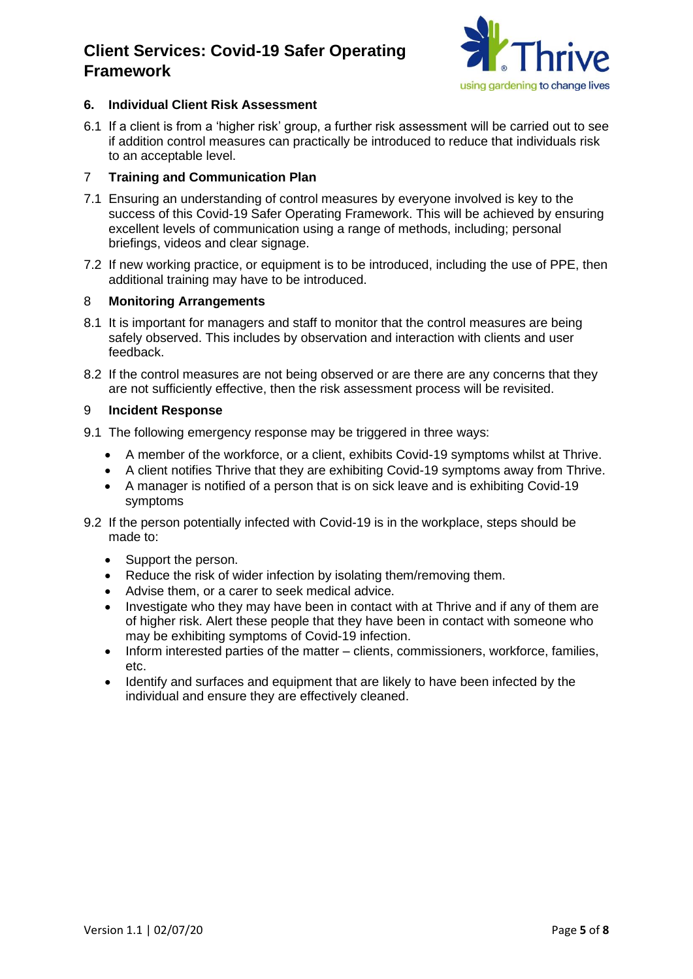

## **6. Individual Client Risk Assessment**

6.1 If a client is from a 'higher risk' group, a further risk assessment will be carried out to see if addition control measures can practically be introduced to reduce that individuals risk to an acceptable level.

## 7 **Training and Communication Plan**

- 7.1 Ensuring an understanding of control measures by everyone involved is key to the success of this Covid-19 Safer Operating Framework. This will be achieved by ensuring excellent levels of communication using a range of methods, including; personal briefings, videos and clear signage.
- 7.2 If new working practice, or equipment is to be introduced, including the use of PPE, then additional training may have to be introduced.

## 8 **Monitoring Arrangements**

- 8.1 It is important for managers and staff to monitor that the control measures are being safely observed. This includes by observation and interaction with clients and user feedback.
- 8.2 If the control measures are not being observed or are there are any concerns that they are not sufficiently effective, then the risk assessment process will be revisited.

## 9 **Incident Response**

- 9.1 The following emergency response may be triggered in three ways:
	- A member of the workforce, or a client, exhibits Covid-19 symptoms whilst at Thrive.
	- A client notifies Thrive that they are exhibiting Covid-19 symptoms away from Thrive.
	- A manager is notified of a person that is on sick leave and is exhibiting Covid-19 symptoms
- 9.2 If the person potentially infected with Covid-19 is in the workplace, steps should be made to:
	- Support the person.
	- Reduce the risk of wider infection by isolating them/removing them.
	- Advise them, or a carer to seek medical advice.
	- Investigate who they may have been in contact with at Thrive and if any of them are of higher risk. Alert these people that they have been in contact with someone who may be exhibiting symptoms of Covid-19 infection.
	- Inform interested parties of the matter clients, commissioners, workforce, families, etc.
	- Identify and surfaces and equipment that are likely to have been infected by the individual and ensure they are effectively cleaned.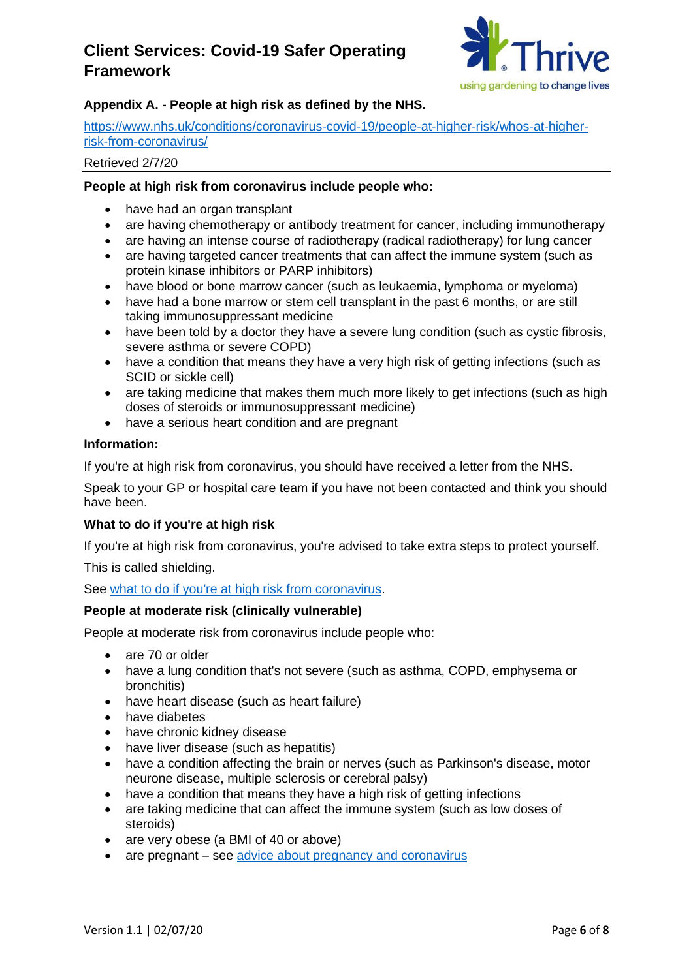

## **Appendix A. - People at high risk as defined by the NHS.**

[https://www.nhs.uk/conditions/coronavirus-covid-19/people-at-higher-risk/whos-at-higher](https://www.nhs.uk/conditions/coronavirus-covid-19/people-at-higher-risk/whos-at-higher-risk-from-coronavirus/)[risk-from-coronavirus/](https://www.nhs.uk/conditions/coronavirus-covid-19/people-at-higher-risk/whos-at-higher-risk-from-coronavirus/)

#### Retrieved 2/7/20

## **People at high risk from coronavirus include people who:**

- have had an organ transplant
- are having chemotherapy or antibody treatment for cancer, including immunotherapy
- are having an intense course of radiotherapy (radical radiotherapy) for lung cancer
- are having targeted cancer treatments that can affect the immune system (such as protein kinase inhibitors or PARP inhibitors)
- have blood or bone marrow cancer (such as leukaemia, lymphoma or myeloma)
- have had a bone marrow or stem cell transplant in the past 6 months, or are still taking immunosuppressant medicine
- have been told by a doctor they have a severe lung condition (such as cystic fibrosis, severe asthma or severe COPD)
- have a condition that means they have a very high risk of getting infections (such as SCID or sickle cell)
- are taking medicine that makes them much more likely to get infections (such as high doses of steroids or immunosuppressant medicine)
- have a serious heart condition and are pregnant

## **Information:**

If you're at high risk from coronavirus, you should have received a letter from the NHS.

Speak to your GP or hospital care team if you have not been contacted and think you should have been.

## **What to do if you're at high risk**

If you're at high risk from coronavirus, you're advised to take extra steps to protect yourself.

This is called shielding.

## See [what to do if you're at high risk from coronavirus.](https://www.nhs.uk/conditions/coronavirus-covid-19/people-at-higher-risk/advice-for-people-at-high-risk/)

## **People at moderate risk (clinically vulnerable)**

People at moderate risk from coronavirus include people who:

- are 70 or older
- have a lung condition that's not severe (such as asthma, COPD, emphysema or bronchitis)
- have heart disease (such as heart failure)
- have diabetes
- have chronic kidney disease
- have liver disease (such as hepatitis)
- have a condition affecting the brain or nerves (such as Parkinson's disease, motor neurone disease, multiple sclerosis or cerebral palsy)
- have a condition that means they have a high risk of getting infections
- are taking medicine that can affect the immune system (such as low doses of steroids)
- are very obese (a BMI of 40 or above)
- are pregnant see [advice about pregnancy and coronavirus](https://www.nhs.uk/conditions/coronavirus-covid-19/people-at-higher-risk/pregnancy-and-coronavirus/)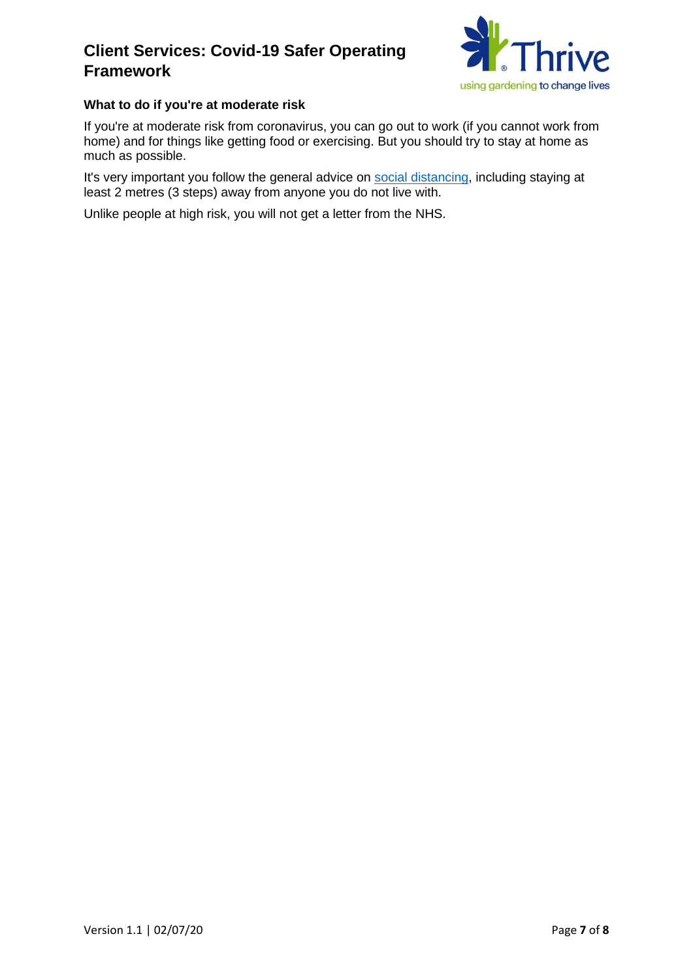

## **What to do if you're at moderate risk**

If you're at moderate risk from coronavirus, you can go out to work (if you cannot work from home) and for things like getting food or exercising. But you should try to stay at home as much as possible.

It's very important you follow the general advice on [social distancing,](https://www.nhs.uk/conditions/coronavirus-covid-19/social-distancing/what-you-need-to-do/) including staying at least 2 metres (3 steps) away from anyone you do not live with.

Unlike people at high risk, you will not get a letter from the NHS.